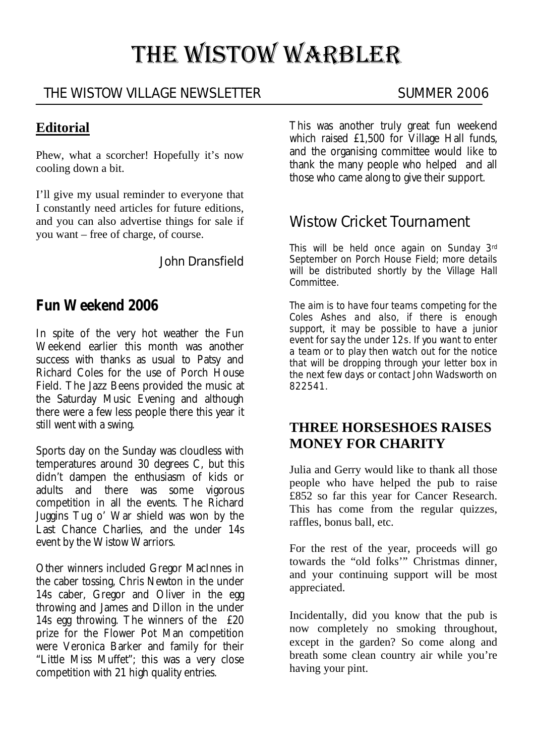# THE WISTOW WARBLER

# THE WISTOW VILLAGE NEWSLETTER SUMMER 2006

### **Editorial**

Phew, what a scorcher! Hopefully it's now cooling down a bit.

I'll give my usual reminder to everyone that I constantly need articles for future editions, and you can also advertise things for sale if you want – free of charge, of course.

John Dransfield

# **Fun Weekend 2006**

In spite of the very hot weather the Fun Weekend earlier this month was another success with thanks as usual to Patsy and Richard Coles for the use of Porch House Field. The Jazz Beens provided the music at the Saturday Music Evening and although there were a few less people there this year it still went with a swing.

Sports day on the Sunday was cloudless with temperatures around 30 degrees C, but this didn't dampen the enthusiasm of kids or adults and there was some vigorous competition in all the events. The Richard Juggins Tug o' War shield was won by the Last Chance Charlies, and the under 14s event by the Wistow Warriors.

Other winners included Gregor MacInnes in the caber tossing, Chris Newton in the under 14s caber, Gregor and Oliver in the egg throwing and James and Dillon in the under 14s egg throwing. The winners of the £20 prize for the Flower Pot Man competition were Veronica Barker and family for their "Little Miss Muffet"; this was a very close competition with 21 high quality entries.

This was another truly great fun weekend which raised £1,500 for Village Hall funds, and the organising committee would like to thank the many people who helped and all those who came along to give their support.

# Wistow Cricket Tournament

This will be held once again on Sunday 3rd September on Porch House Field; more details will be distributed shortly by the Village Hall Committee.

The aim is to have four teams competing for the Coles Ashes and also, if there is enough support, it may be possible to have a junior event for say the under 12s. If you want to enter a team or to play then watch out for the notice that will be dropping through your letter box in the next few days or contact John Wadsworth on 822541.

## **THREE HORSESHOES RAISES MONEY FOR CHARITY**

Julia and Gerry would like to thank all those people who have helped the pub to raise £852 so far this year for Cancer Research. This has come from the regular quizzes, raffles, bonus ball, etc.

For the rest of the year, proceeds will go towards the "old folks'" Christmas dinner, and your continuing support will be most appreciated.

Incidentally, did you know that the pub is now completely no smoking throughout, except in the garden? So come along and breath some clean country air while you're having your pint.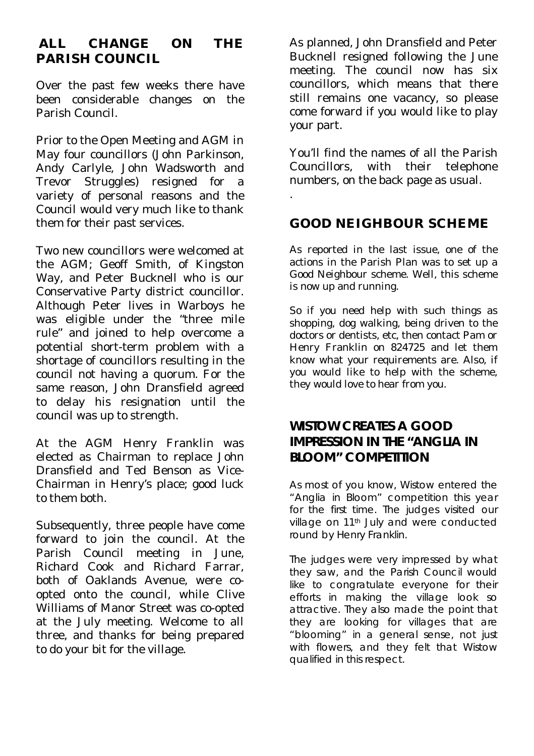# **ALL CHANGE ON THE PARISH COUNCIL**

Over the past few weeks there have been considerable changes on the Parish Council.

Prior to the Open Meeting and AGM in May four councillors (John Parkinson, Andy Carlyle, John Wadsworth and Trevor Struggles) resigned for a variety of personal reasons and the Council would very much like to thank them for their past services.

Two new councillors were welcomed at the AGM; Geoff Smith, of Kingston Way, and Peter Bucknell who is our Conservative Party district councillor. Although Peter lives in Warboys he was eligible under the "three mile rule" and joined to help overcome a potential short-term problem with a shortage of councillors resulting in the council not having a quorum. For the same reason, John Dransfield agreed to delay his resignation until the council was up to strength.

At the AGM Henry Franklin was elected as Chairman to replace John Dransfield and Ted Benson as Vice-Chairman in Henry's place; good luck to them both.

Subsequently, three people have come forward to join the council. At the Parish Council meeting in June, Richard Cook and Richard Farrar, both of Oaklands Avenue, were coopted onto the council, while Clive Williams of Manor Street was co-opted at the July meeting. Welcome to all three, and thanks for being prepared to do your bit for the village.

As planned, John Dransfield and Peter Bucknell resigned following the June meeting. The council now has six councillors, which means that there still remains one vacancy, so please come forward if you would like to play your part.

You'll find the names of all the Parish Councillors, with their telephone numbers, on the back page as usual.

#### **GOOD NEIGHBOUR SCHEME**

.

As reported in the last issue, one of the actions in the Parish Plan was to set up a Good Neighbour scheme. Well, this scheme is now up and running.

So if you need help with such things as shopping, dog walking, being driven to the doctors or dentists, etc, then contact Pam or Henry Franklin on 824725 and let them know what your requirements are. Also, if you would like to help with the scheme, they would love to hear from you.

#### **WISTOW CREATES A GOOD IMPRESSION IN THE "ANGLIA IN BLOOM" COMPETITION**

As most of you know, Wistow entered the "Anglia in Bloom" competition this year for the first time. The judges visited our village on 11<sup>th</sup> July and were conducted round by Henry Franklin.

The judges were very impressed by what they saw, and the Parish Council would like to congratulate everyone for their efforts in making the village look so attractive. They also made the point that they are looking for villages that are "blooming" in a general sense, not just with flowers, and they felt that Wistow qualified in this respect.